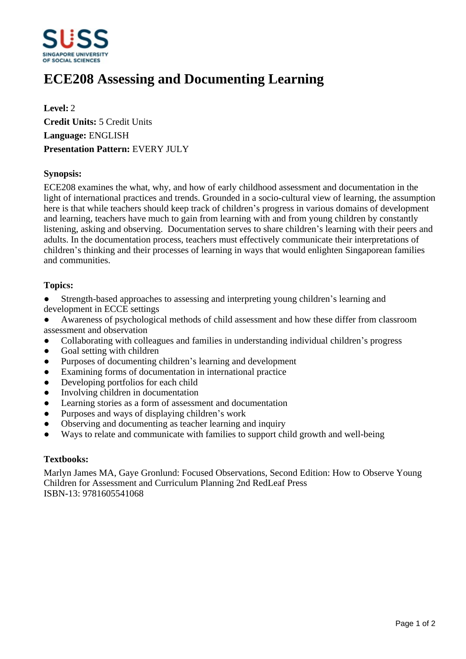

# **ECE208 Assessing and Documenting Learning**

**Level:** 2 **Credit Units:** 5 Credit Units **Language:** ENGLISH **Presentation Pattern:** EVERY JULY

## **Synopsis:**

ECE208 examines the what, why, and how of early childhood assessment and documentation in the light of international practices and trends. Grounded in a socio-cultural view of learning, the assumption here is that while teachers should keep track of children's progress in various domains of development and learning, teachers have much to gain from learning with and from young children by constantly listening, asking and observing. Documentation serves to share children's learning with their peers and adults. In the documentation process, teachers must effectively communicate their interpretations of children's thinking and their processes of learning in ways that would enlighten Singaporean families and communities.

### **Topics:**

- Strength-based approaches to assessing and interpreting young children's learning and development in ECCE settings
- Awareness of psychological methods of child assessment and how these differ from classroom assessment and observation
- Collaborating with colleagues and families in understanding individual children's progress
- Goal setting with children
- Purposes of documenting children's learning and development
- Examining forms of documentation in international practice
- Developing portfolios for each child
- Involving children in documentation
- Learning stories as a form of assessment and documentation
- Purposes and ways of displaying children's work
- Observing and documenting as teacher learning and inquiry
- Ways to relate and communicate with families to support child growth and well-being

#### **Textbooks:**

Marlyn James MA, Gaye Gronlund: Focused Observations, Second Edition: How to Observe Young Children for Assessment and Curriculum Planning 2nd RedLeaf Press ISBN-13: 9781605541068